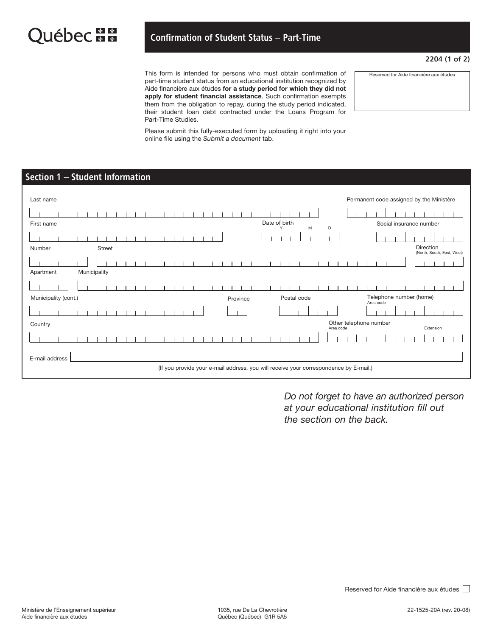## Confirmation of Student Status – Part-Time

## 2204 (1 of 2)

This form is intended for persons who must obtain confirmation of part-time student status from an educational institution recognized by Aide financière aux études for a study period for which they did not apply for student financial assistance. Such confirmation exempts them from the obligation to repay, during the study period indicated, their student loan debt contracted under the Loans Program for Part-Time Studies.

Reserved for Aide financière aux études

Please submit this fully-executed form by uploading it right into your online file using the *Submit a document* tab.

## Section 1 – Student Information

| Last name                                                                             | Permanent code assigned by the Ministère |  |  |  |  |
|---------------------------------------------------------------------------------------|------------------------------------------|--|--|--|--|
|                                                                                       |                                          |  |  |  |  |
| Date of birth<br>First name<br>M<br>D<br>Y                                            | Social insurance number                  |  |  |  |  |
|                                                                                       |                                          |  |  |  |  |
| <b>Street</b><br>Number                                                               | Direction<br>(North, South, East, West)  |  |  |  |  |
|                                                                                       |                                          |  |  |  |  |
| Municipality<br>Apartment                                                             |                                          |  |  |  |  |
|                                                                                       |                                          |  |  |  |  |
| Municipality (cont.)<br>Postal code<br>Province                                       | Telephone number (home)<br>Area code     |  |  |  |  |
|                                                                                       |                                          |  |  |  |  |
| Country<br>Area code                                                                  | Other telephone number<br>Extension      |  |  |  |  |
|                                                                                       |                                          |  |  |  |  |
| E-mail address                                                                        |                                          |  |  |  |  |
| (If you provide your e-mail address, you will receive your correspondence by E-mail.) |                                          |  |  |  |  |

*Do not forget to have an authorized person at your educational institution fill out the section on the back.*

Reserved for Aide financière aux études